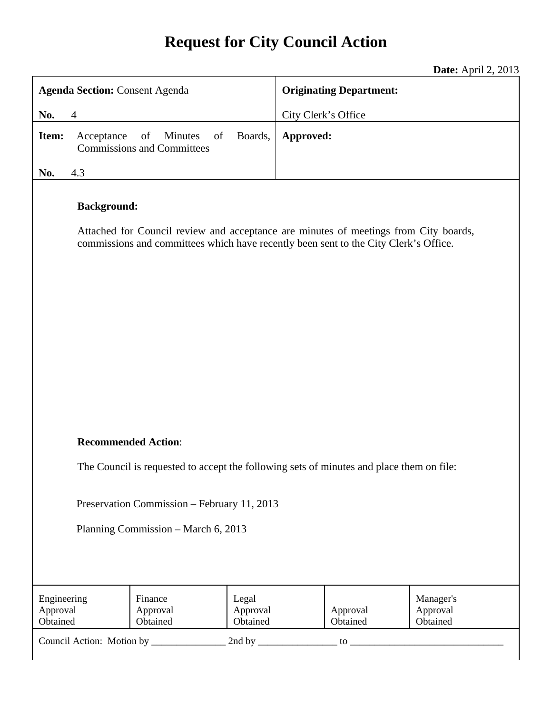# **Request for City Council Action**

**Date:** April 2, 2013

| <b>Agenda Section: Consent Agenda</b>                                                    |                    |                                                                                                                                                                              |                               | <b>Originating Department:</b> |                      |                                   |
|------------------------------------------------------------------------------------------|--------------------|------------------------------------------------------------------------------------------------------------------------------------------------------------------------------|-------------------------------|--------------------------------|----------------------|-----------------------------------|
| No.<br>$\overline{4}$                                                                    |                    |                                                                                                                                                                              | City Clerk's Office           |                                |                      |                                   |
| Item:                                                                                    | Acceptance         | of<br>Minutes<br>of<br><b>Commissions and Committees</b>                                                                                                                     | Boards,                       | Approved:                      |                      |                                   |
| No.                                                                                      | 4.3                |                                                                                                                                                                              |                               |                                |                      |                                   |
|                                                                                          | <b>Background:</b> | Attached for Council review and acceptance are minutes of meetings from City boards,<br>commissions and committees which have recently been sent to the City Clerk's Office. |                               |                                |                      |                                   |
| <b>Recommended Action:</b>                                                               |                    |                                                                                                                                                                              |                               |                                |                      |                                   |
| The Council is requested to accept the following sets of minutes and place them on file: |                    |                                                                                                                                                                              |                               |                                |                      |                                   |
| Preservation Commission - February 11, 2013                                              |                    |                                                                                                                                                                              |                               |                                |                      |                                   |
| Planning Commission – March 6, 2013                                                      |                    |                                                                                                                                                                              |                               |                                |                      |                                   |
|                                                                                          |                    |                                                                                                                                                                              |                               |                                |                      |                                   |
| Engineering<br>Approval<br>Obtained                                                      |                    | Finance<br>Approval<br>Obtained                                                                                                                                              | Legal<br>Approval<br>Obtained |                                | Approval<br>Obtained | Manager's<br>Approval<br>Obtained |
|                                                                                          |                    |                                                                                                                                                                              |                               |                                |                      |                                   |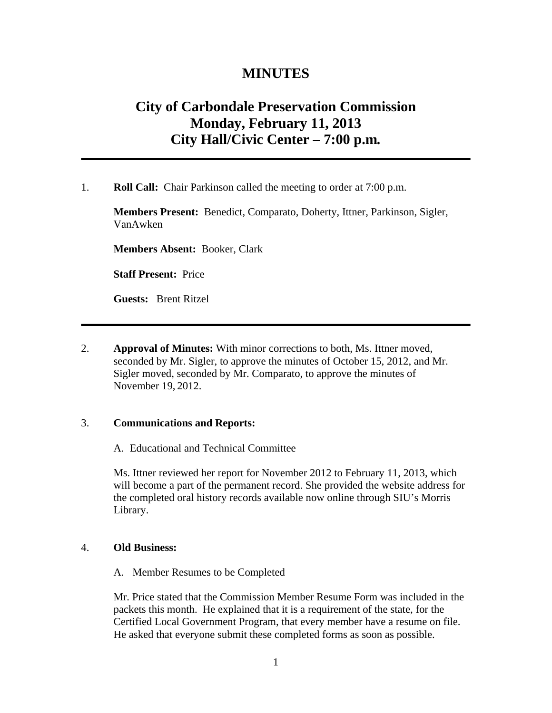## **MINUTES**

# **City of Carbondale Preservation Commission Monday, February 11, 2013 City Hall/Civic Center – 7:00 p.m***.*

1. **Roll Call:** Chair Parkinson called the meeting to order at 7:00 p.m.

**Members Present:** Benedict, Comparato, Doherty, Ittner, Parkinson, Sigler, VanAwken

**Members Absent:** Booker, Clark

**Staff Present:** Price

**Guests:** Brent Ritzel

2. **Approval of Minutes:** With minor corrections to both, Ms. Ittner moved, seconded by Mr. Sigler, to approve the minutes of October 15, 2012, and Mr. Sigler moved, seconded by Mr. Comparato, to approve the minutes of November 19, 2012.

### 3. **Communications and Reports:**

A. Educational and Technical Committee

Ms. Ittner reviewed her report for November 2012 to February 11, 2013, which will become a part of the permanent record. She provided the website address for the completed oral history records available now online through SIU's Morris Library.

#### 4. **Old Business:**

A. Member Resumes to be Completed

Mr. Price stated that the Commission Member Resume Form was included in the packets this month. He explained that it is a requirement of the state, for the Certified Local Government Program, that every member have a resume on file. He asked that everyone submit these completed forms as soon as possible.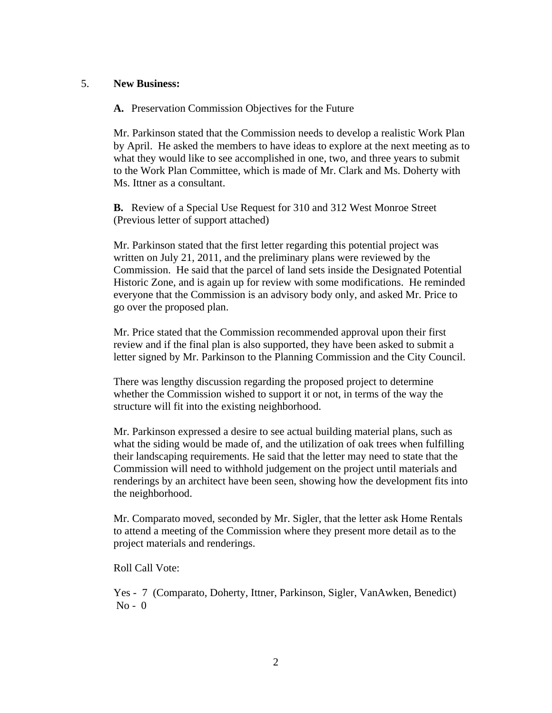### 5. **New Business:**

**A.** Preservation Commission Objectives for the Future

Mr. Parkinson stated that the Commission needs to develop a realistic Work Plan by April. He asked the members to have ideas to explore at the next meeting as to what they would like to see accomplished in one, two, and three years to submit to the Work Plan Committee, which is made of Mr. Clark and Ms. Doherty with Ms. Ittner as a consultant.

**B.** Review of a Special Use Request for 310 and 312 West Monroe Street (Previous letter of support attached)

Mr. Parkinson stated that the first letter regarding this potential project was written on July 21, 2011, and the preliminary plans were reviewed by the Commission. He said that the parcel of land sets inside the Designated Potential Historic Zone, and is again up for review with some modifications. He reminded everyone that the Commission is an advisory body only, and asked Mr. Price to go over the proposed plan.

Mr. Price stated that the Commission recommended approval upon their first review and if the final plan is also supported, they have been asked to submit a letter signed by Mr. Parkinson to the Planning Commission and the City Council.

There was lengthy discussion regarding the proposed project to determine whether the Commission wished to support it or not, in terms of the way the structure will fit into the existing neighborhood.

Mr. Parkinson expressed a desire to see actual building material plans, such as what the siding would be made of, and the utilization of oak trees when fulfilling their landscaping requirements. He said that the letter may need to state that the Commission will need to withhold judgement on the project until materials and renderings by an architect have been seen, showing how the development fits into the neighborhood.

Mr. Comparato moved, seconded by Mr. Sigler, that the letter ask Home Rentals to attend a meeting of the Commission where they present more detail as to the project materials and renderings.

Roll Call Vote:

Yes - 7 (Comparato, Doherty, Ittner, Parkinson, Sigler, VanAwken, Benedict)  $No - 0$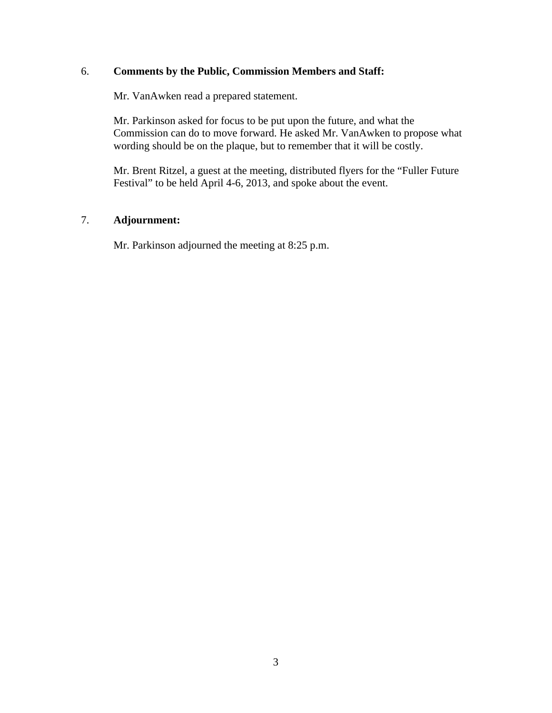### 6. **Comments by the Public, Commission Members and Staff:**

Mr. VanAwken read a prepared statement.

Mr. Parkinson asked for focus to be put upon the future, and what the Commission can do to move forward. He asked Mr. VanAwken to propose what wording should be on the plaque, but to remember that it will be costly.

Mr. Brent Ritzel, a guest at the meeting, distributed flyers for the "Fuller Future Festival" to be held April 4-6, 2013, and spoke about the event.

### 7. **Adjournment:**

Mr. Parkinson adjourned the meeting at 8:25 p.m.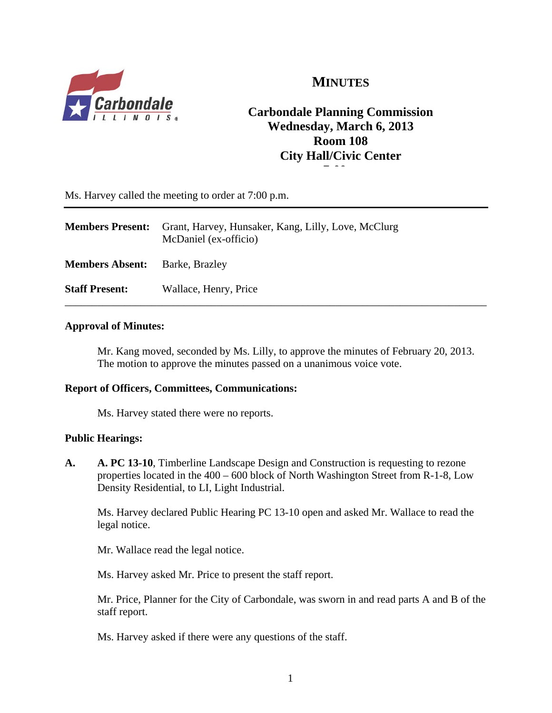

# **MINUTES**

# **Carbondale Planning Commission Wednesday, March 6, 2013 Room 108 City Hall/Civic Center 7** 00

Ms. Harvey called the meeting to order at 7:00 p.m.

| <b>Members Present:</b> | Grant, Harvey, Hunsaker, Kang, Lilly, Love, McClurg<br>McDaniel (ex-officio) |
|-------------------------|------------------------------------------------------------------------------|
| <b>Members Absent:</b>  | Barke, Brazley                                                               |
| <b>Staff Present:</b>   | Wallace, Henry, Price                                                        |

### **Approval of Minutes:**

Mr. Kang moved, seconded by Ms. Lilly, to approve the minutes of February 20, 2013. The motion to approve the minutes passed on a unanimous voice vote.

### **Report of Officers, Committees, Communications:**

Ms. Harvey stated there were no reports.

### **Public Hearings:**

**A. A. PC 13-10**, Timberline Landscape Design and Construction is requesting to rezone properties located in the 400 – 600 block of North Washington Street from R-1-8, Low Density Residential, to LI, Light Industrial.

Ms. Harvey declared Public Hearing PC 13-10 open and asked Mr. Wallace to read the legal notice.

Mr. Wallace read the legal notice.

Ms. Harvey asked Mr. Price to present the staff report.

Mr. Price, Planner for the City of Carbondale, was sworn in and read parts A and B of the staff report.

Ms. Harvey asked if there were any questions of the staff.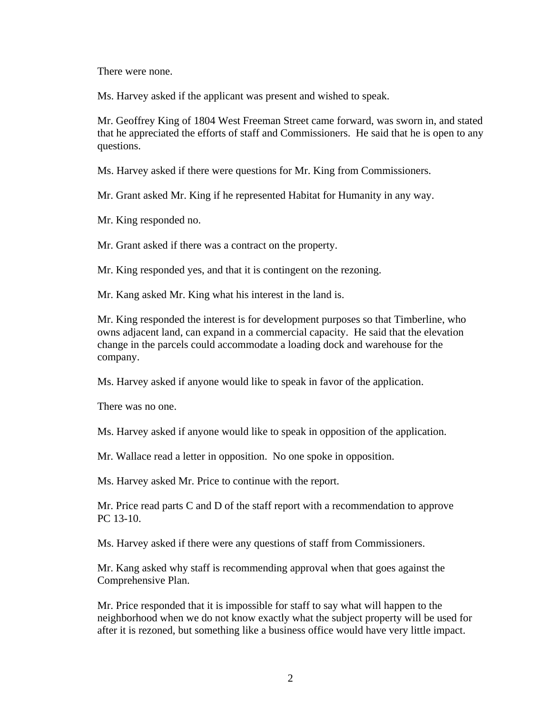There were none.

Ms. Harvey asked if the applicant was present and wished to speak.

Mr. Geoffrey King of 1804 West Freeman Street came forward, was sworn in, and stated that he appreciated the efforts of staff and Commissioners. He said that he is open to any questions.

Ms. Harvey asked if there were questions for Mr. King from Commissioners.

Mr. Grant asked Mr. King if he represented Habitat for Humanity in any way.

Mr. King responded no.

Mr. Grant asked if there was a contract on the property.

Mr. King responded yes, and that it is contingent on the rezoning.

Mr. Kang asked Mr. King what his interest in the land is.

Mr. King responded the interest is for development purposes so that Timberline, who owns adjacent land, can expand in a commercial capacity. He said that the elevation change in the parcels could accommodate a loading dock and warehouse for the company.

Ms. Harvey asked if anyone would like to speak in favor of the application.

There was no one.

Ms. Harvey asked if anyone would like to speak in opposition of the application.

Mr. Wallace read a letter in opposition. No one spoke in opposition.

Ms. Harvey asked Mr. Price to continue with the report.

 Mr. Price read parts C and D of the staff report with a recommendation to approve PC 13-10.

Ms. Harvey asked if there were any questions of staff from Commissioners.

Mr. Kang asked why staff is recommending approval when that goes against the Comprehensive Plan.

Mr. Price responded that it is impossible for staff to say what will happen to the neighborhood when we do not know exactly what the subject property will be used for after it is rezoned, but something like a business office would have very little impact.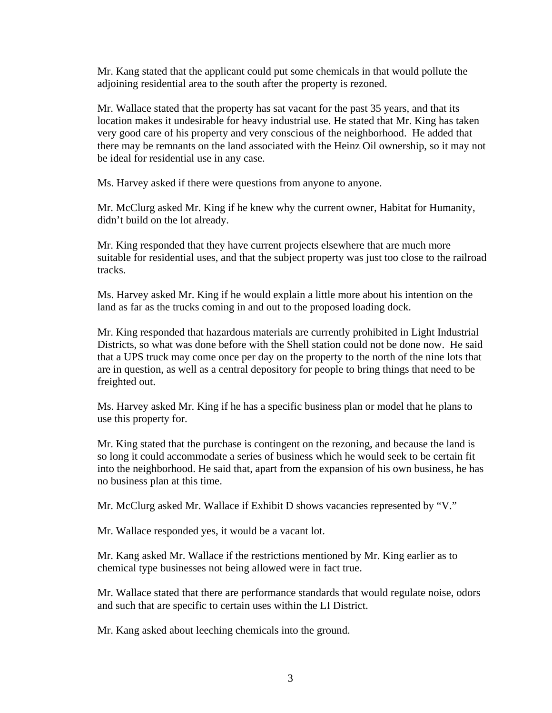Mr. Kang stated that the applicant could put some chemicals in that would pollute the adjoining residential area to the south after the property is rezoned.

Mr. Wallace stated that the property has sat vacant for the past 35 years, and that its location makes it undesirable for heavy industrial use. He stated that Mr. King has taken very good care of his property and very conscious of the neighborhood. He added that there may be remnants on the land associated with the Heinz Oil ownership, so it may not be ideal for residential use in any case.

Ms. Harvey asked if there were questions from anyone to anyone.

Mr. McClurg asked Mr. King if he knew why the current owner, Habitat for Humanity, didn't build on the lot already.

Mr. King responded that they have current projects elsewhere that are much more suitable for residential uses, and that the subject property was just too close to the railroad tracks.

Ms. Harvey asked Mr. King if he would explain a little more about his intention on the land as far as the trucks coming in and out to the proposed loading dock.

Mr. King responded that hazardous materials are currently prohibited in Light Industrial Districts, so what was done before with the Shell station could not be done now. He said that a UPS truck may come once per day on the property to the north of the nine lots that are in question, as well as a central depository for people to bring things that need to be freighted out.

Ms. Harvey asked Mr. King if he has a specific business plan or model that he plans to use this property for.

Mr. King stated that the purchase is contingent on the rezoning, and because the land is so long it could accommodate a series of business which he would seek to be certain fit into the neighborhood. He said that, apart from the expansion of his own business, he has no business plan at this time.

Mr. McClurg asked Mr. Wallace if Exhibit D shows vacancies represented by "V."

Mr. Wallace responded yes, it would be a vacant lot.

Mr. Kang asked Mr. Wallace if the restrictions mentioned by Mr. King earlier as to chemical type businesses not being allowed were in fact true.

Mr. Wallace stated that there are performance standards that would regulate noise, odors and such that are specific to certain uses within the LI District.

Mr. Kang asked about leeching chemicals into the ground.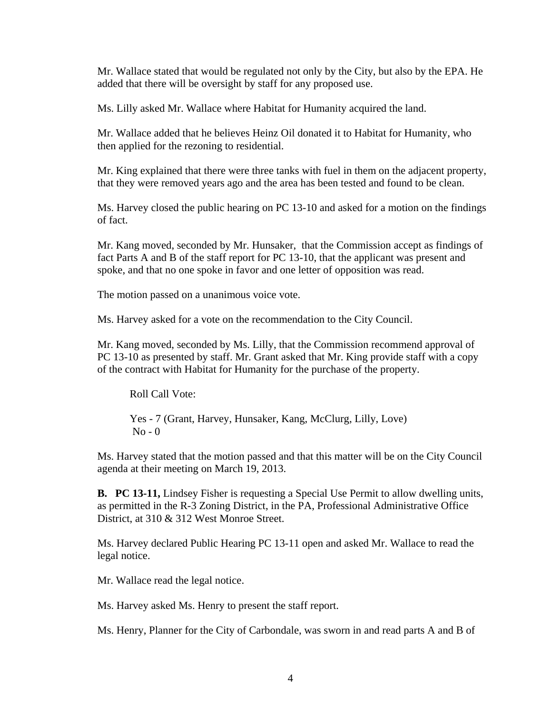Mr. Wallace stated that would be regulated not only by the City, but also by the EPA. He added that there will be oversight by staff for any proposed use.

Ms. Lilly asked Mr. Wallace where Habitat for Humanity acquired the land.

Mr. Wallace added that he believes Heinz Oil donated it to Habitat for Humanity, who then applied for the rezoning to residential.

Mr. King explained that there were three tanks with fuel in them on the adjacent property, that they were removed years ago and the area has been tested and found to be clean.

Ms. Harvey closed the public hearing on PC 13-10 and asked for a motion on the findings of fact.

Mr. Kang moved, seconded by Mr. Hunsaker, that the Commission accept as findings of fact Parts A and B of the staff report for PC 13-10, that the applicant was present and spoke, and that no one spoke in favor and one letter of opposition was read.

The motion passed on a unanimous voice vote.

Ms. Harvey asked for a vote on the recommendation to the City Council.

Mr. Kang moved, seconded by Ms. Lilly, that the Commission recommend approval of PC 13-10 as presented by staff. Mr. Grant asked that Mr. King provide staff with a copy of the contract with Habitat for Humanity for the purchase of the property.

Roll Call Vote:

Yes - 7 (Grant, Harvey, Hunsaker, Kang, McClurg, Lilly, Love)  $No - 0$ 

Ms. Harvey stated that the motion passed and that this matter will be on the City Council agenda at their meeting on March 19, 2013.

**B. PC 13-11,** Lindsey Fisher is requesting a Special Use Permit to allow dwelling units, as permitted in the R-3 Zoning District, in the PA, Professional Administrative Office District, at 310 & 312 West Monroe Street.

Ms. Harvey declared Public Hearing PC 13-11 open and asked Mr. Wallace to read the legal notice.

Mr. Wallace read the legal notice.

Ms. Harvey asked Ms. Henry to present the staff report.

Ms. Henry, Planner for the City of Carbondale, was sworn in and read parts A and B of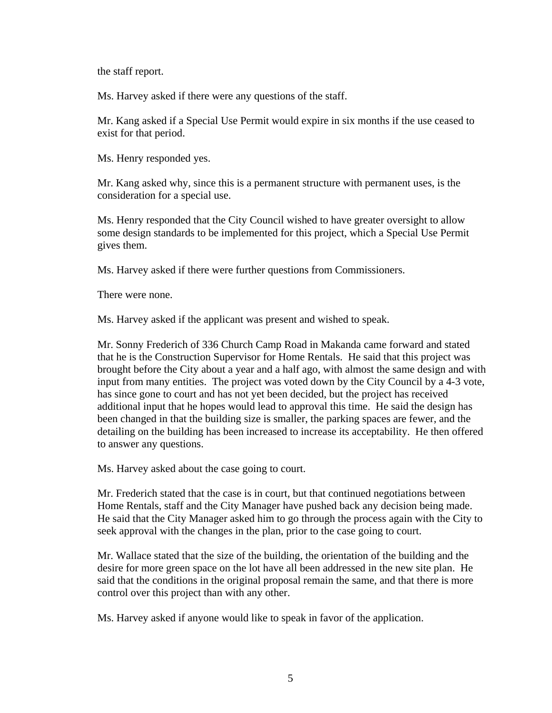the staff report.

Ms. Harvey asked if there were any questions of the staff.

Mr. Kang asked if a Special Use Permit would expire in six months if the use ceased to exist for that period.

Ms. Henry responded yes.

Mr. Kang asked why, since this is a permanent structure with permanent uses, is the consideration for a special use.

Ms. Henry responded that the City Council wished to have greater oversight to allow some design standards to be implemented for this project, which a Special Use Permit gives them.

Ms. Harvey asked if there were further questions from Commissioners.

There were none.

Ms. Harvey asked if the applicant was present and wished to speak.

Mr. Sonny Frederich of 336 Church Camp Road in Makanda came forward and stated that he is the Construction Supervisor for Home Rentals. He said that this project was brought before the City about a year and a half ago, with almost the same design and with input from many entities. The project was voted down by the City Council by a 4-3 vote, has since gone to court and has not yet been decided, but the project has received additional input that he hopes would lead to approval this time. He said the design has been changed in that the building size is smaller, the parking spaces are fewer, and the detailing on the building has been increased to increase its acceptability. He then offered to answer any questions.

Ms. Harvey asked about the case going to court.

Mr. Frederich stated that the case is in court, but that continued negotiations between Home Rentals, staff and the City Manager have pushed back any decision being made. He said that the City Manager asked him to go through the process again with the City to seek approval with the changes in the plan, prior to the case going to court.

Mr. Wallace stated that the size of the building, the orientation of the building and the desire for more green space on the lot have all been addressed in the new site plan. He said that the conditions in the original proposal remain the same, and that there is more control over this project than with any other.

Ms. Harvey asked if anyone would like to speak in favor of the application.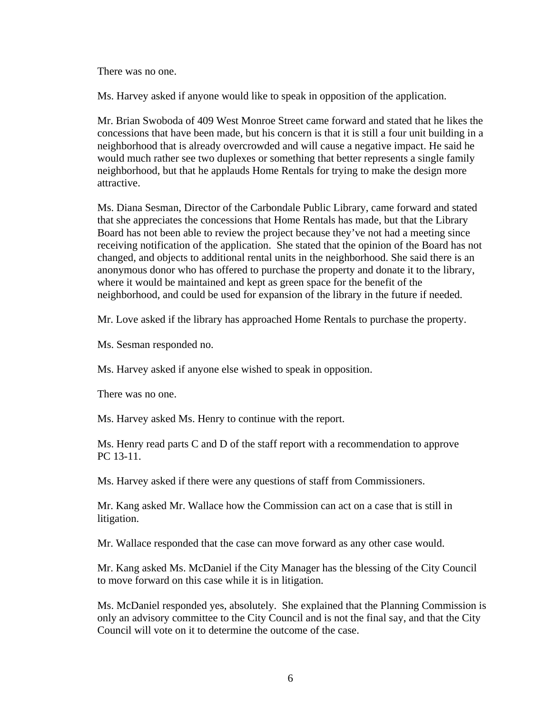There was no one.

Ms. Harvey asked if anyone would like to speak in opposition of the application.

Mr. Brian Swoboda of 409 West Monroe Street came forward and stated that he likes the concessions that have been made, but his concern is that it is still a four unit building in a neighborhood that is already overcrowded and will cause a negative impact. He said he would much rather see two duplexes or something that better represents a single family neighborhood, but that he applauds Home Rentals for trying to make the design more attractive.

Ms. Diana Sesman, Director of the Carbondale Public Library, came forward and stated that she appreciates the concessions that Home Rentals has made, but that the Library Board has not been able to review the project because they've not had a meeting since receiving notification of the application. She stated that the opinion of the Board has not changed, and objects to additional rental units in the neighborhood. She said there is an anonymous donor who has offered to purchase the property and donate it to the library, where it would be maintained and kept as green space for the benefit of the neighborhood, and could be used for expansion of the library in the future if needed.

Mr. Love asked if the library has approached Home Rentals to purchase the property.

Ms. Sesman responded no.

Ms. Harvey asked if anyone else wished to speak in opposition.

There was no one.

Ms. Harvey asked Ms. Henry to continue with the report.

 Ms. Henry read parts C and D of the staff report with a recommendation to approve PC 13-11.

Ms. Harvey asked if there were any questions of staff from Commissioners.

Mr. Kang asked Mr. Wallace how the Commission can act on a case that is still in litigation.

Mr. Wallace responded that the case can move forward as any other case would.

Mr. Kang asked Ms. McDaniel if the City Manager has the blessing of the City Council to move forward on this case while it is in litigation.

Ms. McDaniel responded yes, absolutely. She explained that the Planning Commission is only an advisory committee to the City Council and is not the final say, and that the City Council will vote on it to determine the outcome of the case.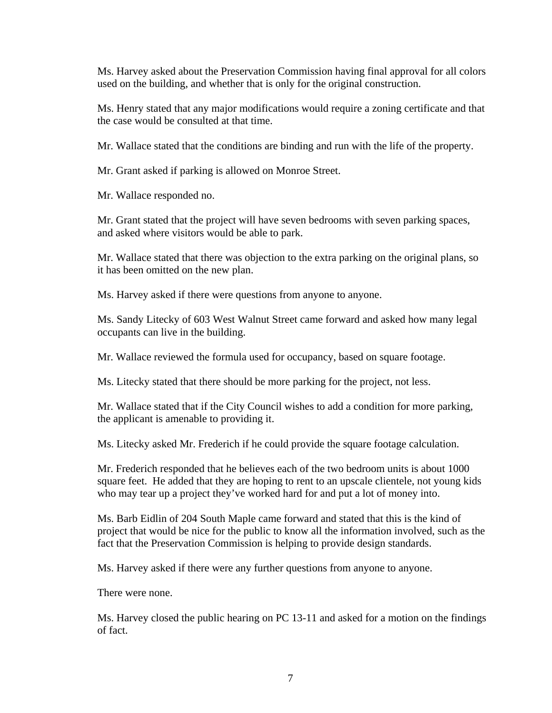Ms. Harvey asked about the Preservation Commission having final approval for all colors used on the building, and whether that is only for the original construction.

Ms. Henry stated that any major modifications would require a zoning certificate and that the case would be consulted at that time.

Mr. Wallace stated that the conditions are binding and run with the life of the property.

Mr. Grant asked if parking is allowed on Monroe Street.

Mr. Wallace responded no.

Mr. Grant stated that the project will have seven bedrooms with seven parking spaces, and asked where visitors would be able to park.

Mr. Wallace stated that there was objection to the extra parking on the original plans, so it has been omitted on the new plan.

Ms. Harvey asked if there were questions from anyone to anyone.

Ms. Sandy Litecky of 603 West Walnut Street came forward and asked how many legal occupants can live in the building.

Mr. Wallace reviewed the formula used for occupancy, based on square footage.

Ms. Litecky stated that there should be more parking for the project, not less.

Mr. Wallace stated that if the City Council wishes to add a condition for more parking, the applicant is amenable to providing it.

Ms. Litecky asked Mr. Frederich if he could provide the square footage calculation.

Mr. Frederich responded that he believes each of the two bedroom units is about 1000 square feet. He added that they are hoping to rent to an upscale clientele, not young kids who may tear up a project they've worked hard for and put a lot of money into.

Ms. Barb Eidlin of 204 South Maple came forward and stated that this is the kind of project that would be nice for the public to know all the information involved, such as the fact that the Preservation Commission is helping to provide design standards.

Ms. Harvey asked if there were any further questions from anyone to anyone.

There were none.

Ms. Harvey closed the public hearing on PC 13-11 and asked for a motion on the findings of fact.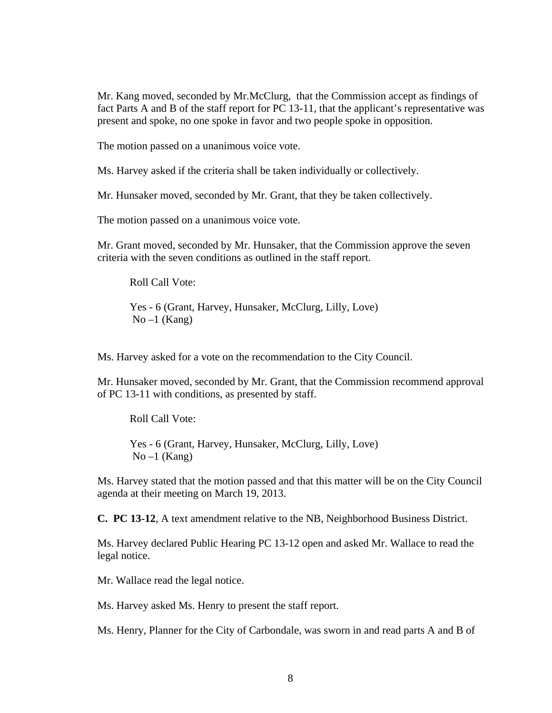Mr. Kang moved, seconded by Mr.McClurg, that the Commission accept as findings of fact Parts A and B of the staff report for PC 13-11, that the applicant's representative was present and spoke, no one spoke in favor and two people spoke in opposition.

The motion passed on a unanimous voice vote.

Ms. Harvey asked if the criteria shall be taken individually or collectively.

Mr. Hunsaker moved, seconded by Mr. Grant, that they be taken collectively.

The motion passed on a unanimous voice vote.

Mr. Grant moved, seconded by Mr. Hunsaker, that the Commission approve the seven criteria with the seven conditions as outlined in the staff report.

Roll Call Vote:

Yes - 6 (Grant, Harvey, Hunsaker, McClurg, Lilly, Love)  $No-1$  (Kang)

Ms. Harvey asked for a vote on the recommendation to the City Council.

Mr. Hunsaker moved, seconded by Mr. Grant, that the Commission recommend approval of PC 13-11 with conditions, as presented by staff.

Roll Call Vote:

Yes - 6 (Grant, Harvey, Hunsaker, McClurg, Lilly, Love)  $No-1$  (Kang)

Ms. Harvey stated that the motion passed and that this matter will be on the City Council agenda at their meeting on March 19, 2013.

**C. PC 13-12**, A text amendment relative to the NB, Neighborhood Business District.

Ms. Harvey declared Public Hearing PC 13-12 open and asked Mr. Wallace to read the legal notice.

Mr. Wallace read the legal notice.

Ms. Harvey asked Ms. Henry to present the staff report.

Ms. Henry, Planner for the City of Carbondale, was sworn in and read parts A and B of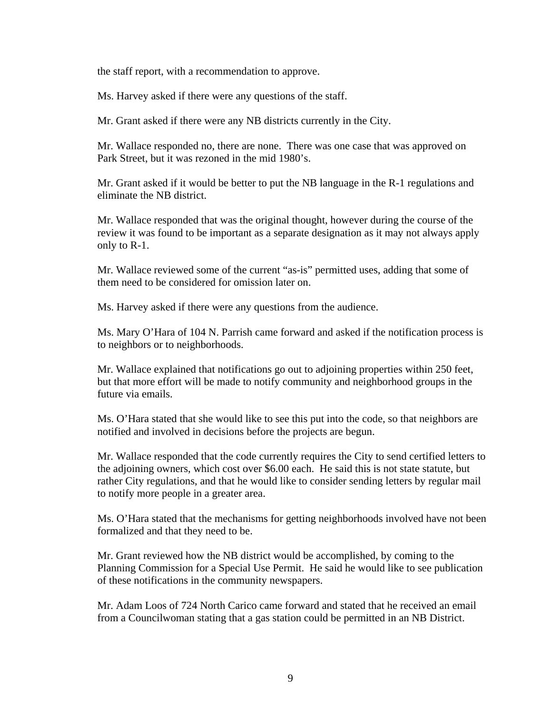the staff report, with a recommendation to approve.

Ms. Harvey asked if there were any questions of the staff.

Mr. Grant asked if there were any NB districts currently in the City.

Mr. Wallace responded no, there are none. There was one case that was approved on Park Street, but it was rezoned in the mid 1980's.

Mr. Grant asked if it would be better to put the NB language in the R-1 regulations and eliminate the NB district.

Mr. Wallace responded that was the original thought, however during the course of the review it was found to be important as a separate designation as it may not always apply only to R-1.

Mr. Wallace reviewed some of the current "as-is" permitted uses, adding that some of them need to be considered for omission later on.

Ms. Harvey asked if there were any questions from the audience.

Ms. Mary O'Hara of 104 N. Parrish came forward and asked if the notification process is to neighbors or to neighborhoods.

Mr. Wallace explained that notifications go out to adjoining properties within 250 feet, but that more effort will be made to notify community and neighborhood groups in the future via emails.

Ms. O'Hara stated that she would like to see this put into the code, so that neighbors are notified and involved in decisions before the projects are begun.

Mr. Wallace responded that the code currently requires the City to send certified letters to the adjoining owners, which cost over \$6.00 each. He said this is not state statute, but rather City regulations, and that he would like to consider sending letters by regular mail to notify more people in a greater area.

Ms. O'Hara stated that the mechanisms for getting neighborhoods involved have not been formalized and that they need to be.

Mr. Grant reviewed how the NB district would be accomplished, by coming to the Planning Commission for a Special Use Permit. He said he would like to see publication of these notifications in the community newspapers.

Mr. Adam Loos of 724 North Carico came forward and stated that he received an email from a Councilwoman stating that a gas station could be permitted in an NB District.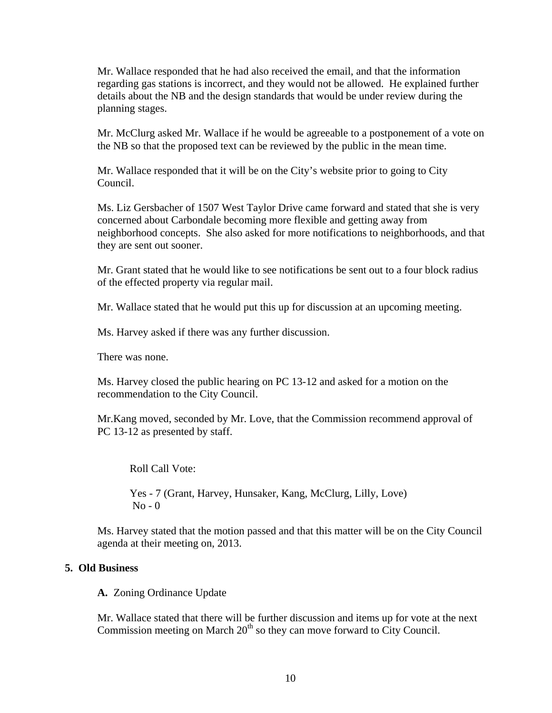Mr. Wallace responded that he had also received the email, and that the information regarding gas stations is incorrect, and they would not be allowed. He explained further details about the NB and the design standards that would be under review during the planning stages.

Mr. McClurg asked Mr. Wallace if he would be agreeable to a postponement of a vote on the NB so that the proposed text can be reviewed by the public in the mean time.

Mr. Wallace responded that it will be on the City's website prior to going to City Council.

Ms. Liz Gersbacher of 1507 West Taylor Drive came forward and stated that she is very concerned about Carbondale becoming more flexible and getting away from neighborhood concepts. She also asked for more notifications to neighborhoods, and that they are sent out sooner.

Mr. Grant stated that he would like to see notifications be sent out to a four block radius of the effected property via regular mail.

Mr. Wallace stated that he would put this up for discussion at an upcoming meeting.

Ms. Harvey asked if there was any further discussion.

There was none.

Ms. Harvey closed the public hearing on PC 13-12 and asked for a motion on the recommendation to the City Council.

Mr.Kang moved, seconded by Mr. Love, that the Commission recommend approval of PC 13-12 as presented by staff.

Roll Call Vote:

Yes - 7 (Grant, Harvey, Hunsaker, Kang, McClurg, Lilly, Love)  $No - 0$ 

Ms. Harvey stated that the motion passed and that this matter will be on the City Council agenda at their meeting on, 2013.

#### **5. Old Business**

**A.** Zoning Ordinance Update

Mr. Wallace stated that there will be further discussion and items up for vote at the next Commission meeting on March  $20<sup>th</sup>$  so they can move forward to City Council.